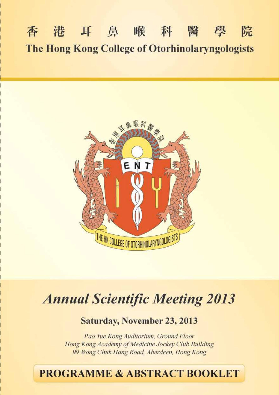## 香港耳鼻喉科醫學 院 The Hong Kong College of Otorhinolaryngologists



# **Annual Scientific Meeting 2013**

## **Saturday, November 23, 2013**

Pao Yue Kong Auditorium, Ground Floor Hong Kong Academy of Medicine Jockey Club Building 99 Wong Chuk Hang Road, Aberdeen, Hong Kong

## **PROGRAMME & ABSTRACT BOOKLET**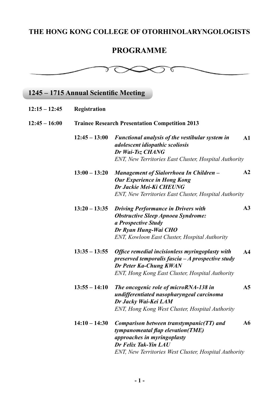## **THE HONG KONG COLLEGE OF OTORHINOLARYNGOLOGISTS**

## **PROGRAMME**



## **1245 – 1715 Annual Scientific Meeting**

| $12:15 - 12:45$ | Registration                                          |                                                                                                                                                                                               |                |  |
|-----------------|-------------------------------------------------------|-----------------------------------------------------------------------------------------------------------------------------------------------------------------------------------------------|----------------|--|
| $12:45 - 16:00$ | <b>Trainee Research Presentation Competition 2013</b> |                                                                                                                                                                                               |                |  |
|                 | $12:45 - 13:00$                                       | Functional analysis of the vestibular system in<br>adolescent idiopathic scoliosis<br>Dr Wai-Tsz CHANG<br>ENT, New Territories East Cluster, Hospital Authority                               | A1             |  |
|                 | $13:00 - 13:20$                                       | Management of Sialorrhoea In Children -<br><b>Our Experience in Hong Kong</b><br>Dr Jackie Mei-Ki CHEUNG<br>ENT, New Territories East Cluster, Hospital Authority                             | A2             |  |
|                 | $13:20 - 13:35$                                       | <b>Driving Performance in Drivers with</b><br><b>Obstructive Sleep Apnoea Syndrome:</b><br>a Prospective Study<br>Dr Ryan Hung-Wai CHO<br>ENT, Kowloon East Cluster, Hospital Authority       | A <sub>3</sub> |  |
|                 | $13:35 - 13:55$                                       | Office remedial incisionless myringoplasty with<br>preserved temporalis fascia $-A$ prospective study<br>Dr Peter Ka-Chung KWAN<br>ENT, Hong Kong East Cluster, Hospital Authority            | $\mathbf{A}$   |  |
|                 | $13:55 - 14:10$                                       | The oncogenic role of microRNA-138 in<br>undifferentiated nasopharyngeal carcinoma<br>Dr Jacky Wai-Kei LAM<br>ENT, Hong Kong West Cluster, Hospital Authority                                 | A <sub>5</sub> |  |
|                 | $14:10 - 14:30$                                       | Comparison between transtympanic(TT) and<br>tympanomeatal flap elevation(TME)<br>approaches in myringoplasty<br>Dr Felix Tak-Yin LAU<br>ENT, New Territories West Cluster, Hospital Authority | A6             |  |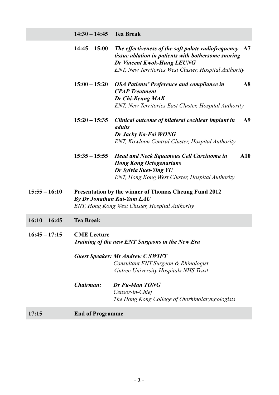#### **14:30 – 14:45 Tea Break**

| $14:45 - 15:00$ | The effectiveness of the soft palate radiofrequency A7<br><i>tissue ablation in patients with bothersome snoring</i> |
|-----------------|----------------------------------------------------------------------------------------------------------------------|
|                 | Dr Vincent Kwok-Hung LEUNG                                                                                           |
|                 | ENT, New Territories West Cluster, Hospital Authority                                                                |

- **15:00 15:20** *OSA Patients' Preference and compliance in CPAP Treatment Dr Chi-Keung MAK ENT, New Territories East Cluster, Hospital Authority* **A8**
- **15:20 15:35** *Clinical outcome of bilateral cochlear implant in adults Dr Jacky Ka-Fai WONG ENT, Kowloon Central Cluster, Hospital Authority*  **A9**
- **15:35 15:55** *Head and Neck Squamous Cell Carcinoma in Hong Kong Octogenarians Dr Sylvia Suet-Ying YU ENT, Hong Kong West Cluster, Hospital Authority*  **A10**

#### **15:55 – 16:10 Presentation by the winner of Thomas Cheung Fund 2012** *By Dr Jonathan Kai-Yum LAU ENT, Hong Kong West Cluster, Hospital Authority*

**16:10 – 16:45 Tea Break**

#### **16:45 – 17:15 CME Lecture** *Training of the new ENT Surgeons in the New Era*

#### *Guest Speaker: Mr Andrew C SWIFT Consultant ENT Surgeon & Rhinologist Aintree University Hospitals NHS Trust*

#### *Chairman: Dr Fu-Man TONG Censor-in-Chief The Hong Kong College of Otorhinolaryngologists*

#### **17:15 End of Programme**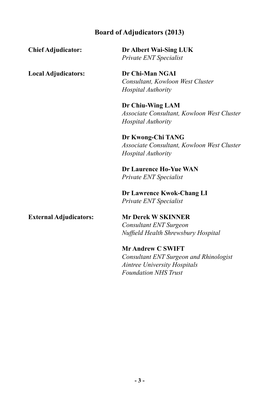## **Board of Adjudicators (2013)**

| <b>Chief Adjudicator:</b>     | Dr Albert Wai-Sing LUK                     |
|-------------------------------|--------------------------------------------|
|                               | Private ENT Specialist                     |
| Local Adjudicators:           | Dr Chi-Man NGAI                            |
|                               | Consultant, Kowloon West Cluster           |
|                               | Hospital Authority                         |
|                               | Dr Chiu-Wing LAM                           |
|                               | Associate Consultant, Kowloon West Cluster |
|                               | Hospital Authority                         |
|                               | Dr Kwong-Chi TANG                          |
|                               | Associate Consultant, Kowloon West Cluster |
|                               | Hospital Authority                         |
|                               | <b>Dr Laurence Ho-Yue WAN</b>              |
|                               | Private ENT Specialist                     |
|                               | Dr Lawrence Kwok-Chang LI                  |
|                               | Private ENT Specialist                     |
| <b>External Adjudicators:</b> | <b>Mr Derek W SKINNER</b>                  |
|                               | Consultant ENT Surgeon                     |
|                               | Nuffield Health Shrewsbury Hospital        |
|                               |                                            |

**Mr Andrew C SWIFT**  *Consultant ENT Surgeon and Rhinologist Aintree University Hospitals Foundation NHS Trust*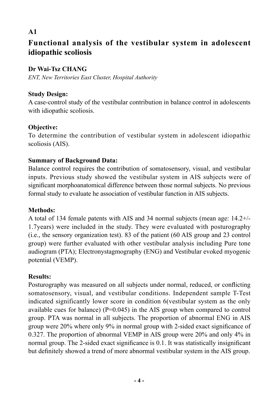## **Functional analysis of the vestibular system in adolescent idiopathic scoliosis**

#### **Dr Wai-Tsz CHANG**

*ENT, New Territories East Cluster, Hospital Authority* 

#### **Study Design:**

A case-control study of the vestibular contribution in balance control in adolescents with idiopathic scoliosis.

#### **Objective:**

To determine the contribution of vestibular system in adolescent idiopathic scoliosis (AIS).

#### **Summary of Background Data:**

Balance control requires the contribution of somatosensory, visual, and vestibular inputs. Previous study showed the vestibular system in AIS subjects were of significant morphoanatomical difference between those normal subjects. No previous formal study to evaluate he association of vestibular function in AIS subjects.

#### **Methods:**

A total of 134 female patents with AIS and 34 normal subjects (mean age: 14.2+/- 1.7years) were included in the study. They were evaluated with posturography (i.e., the sensory organization test). 83 of the patient (60 AIS group and 23 control group) were further evaluated with other vestibular analysis including Pure tone audiogram (PTA); Electronystagmography (ENG) and Vestibular evoked myogenic potential (VEMP).

#### **Results:**

Posturography was measured on all subjects under normal, reduced, or conflicting somatosensory, visual, and vestibular conditions. Independent sample T-Test indicated significantly lower score in condition 6(vestibular system as the only available cues for balance) ( $P=0.045$ ) in the AIS group when compared to control group. PTA was normal in all subjects. The proportion of abnormal ENG in AIS group were 20% where only 9% in normal group with 2-sided exact significance of 0.327. The proportion of abnormal VEMP in AIS group were 20% and only 4% in normal group. The 2-sided exact significance is 0.1. It was statistically insignificant but definitely showed a trend of more abnormal vestibular system in the AIS group.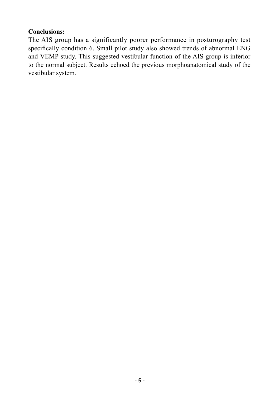#### **Conclusions:**

The AIS group has a significantly poorer performance in posturography test specifically condition 6. Small pilot study also showed trends of abnormal ENG and VEMP study. This suggested vestibular function of the AIS group is inferior to the normal subject. Results echoed the previous morphoanatomical study of the vestibular system.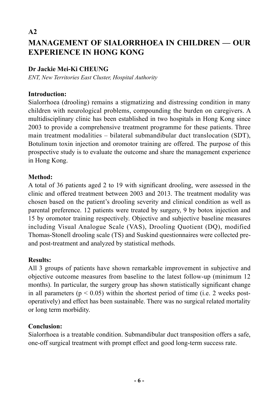## **A2 MANAGEMENT OF SIALORRHOEA IN CHILDREN — OUR EXPERIENCE IN HONG KONG**

#### **Dr Jackie Mei-Ki CHEUNG**

*ENT, New Territories East Cluster, Hospital Authority*

#### **Introduction:**

Sialorrhoea (drooling) remains a stigmatizing and distressing condition in many children with neurological problems, compounding the burden on caregivers. A multidisciplinary clinic has been established in two hospitals in Hong Kong since 2003 to provide a comprehensive treatment programme for these patients. Three main treatment modalities – bilateral submandibular duct translocation (SDT), Botulinum toxin injection and oromotor training are offered. The purpose of this prospective study is to evaluate the outcome and share the management experience in Hong Kong.

#### **Method:**

A total of 36 patients aged 2 to 19 with significant drooling, were assessed in the clinic and offered treatment between 2003 and 2013. The treatment modality was chosen based on the patient's drooling severity and clinical condition as well as parental preference. 12 patients were treated by surgery, 9 by botox injection and 15 by oromotor training respectively. Objective and subjective baseline measures including Visual Analogue Scale (VAS), Drooling Quotient (DQ), modified Thomas-Stonell drooling scale (TS) and Suskind questionnaires were collected preand post-treatment and analyzed by statistical methods.

#### **Results:**

All 3 groups of patients have shown remarkable improvement in subjective and objective outcome measures from baseline to the latest follow-up (minimum 12 months). In particular, the surgery group has shown statistically significant change in all parameters ( $p < 0.05$ ) within the shortest period of time (i.e. 2 weeks postoperatively) and effect has been sustainable. There was no surgical related mortality or long term morbidity.

#### **Conclusion:**

Sialorrhoea is a treatable condition. Submandibular duct transposition offers a safe, one-off surgical treatment with prompt effect and good long-term success rate.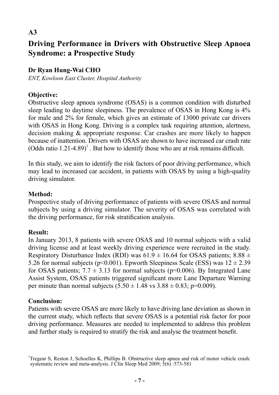## **Driving Performance in Drivers with Obstructive Sleep Apnoea Syndrome: a Prospective Study**

#### **Dr Ryan Hung-Wai CHO**

*ENT, Kowloon East Cluster, Hospital Authority*

#### **Objective:**

Obstructive sleep apnoea syndrome (OSAS) is a common condition with disturbed sleep leading to daytime sleepiness. The prevalence of OSAS in Hong Kong is 4% for male and 2% for female, which gives an estimate of 13000 private car drivers with OSAS in Hong Kong. Driving is a complex task requiring attention, alertness, decision making & appropriate response. Car crashes are more likely to happen because of inattention. Drivers with OSAS are shown to have increased car crash rate (Odds ratio  $1.21$ -4.89)<sup>1</sup>. But how to identify those who are at risk remains difficult.

In this study, we aim to identify the risk factors of poor driving performance, which may lead to increased car accident, in patients with OSAS by using a high-quality driving simulator.

#### **Method:**

Prospective study of driving performance of patients with severe OSAS and normal subjects by using a driving simulator. The severity of OSAS was correlated with the driving performance, for risk stratification analysis.

#### **Result:**

In January 2013, 8 patients with severe OSAS and 10 normal subjects with a valid driving license and at least weekly driving experience were recruited in the study. Respiratory Disturbance Index (RDI) was  $61.9 \pm 16.64$  for OSAS patients;  $8.88 \pm 10^{-10}$ 5.26 for normal subjects (p<0.001). Epworth Sleepiness Scale (ESS) was  $12 \pm 2.39$ for OSAS patients;  $7.7 \pm 3.13$  for normal subjects (p=0.006). By Integrated Lane Assist System, OSAS patients triggered significant more Lane Departure Warning per minute than normal subjects  $(5.50 \pm 1.48 \text{ vs } 3.88 \pm 0.83; \text{ p=0.009}).$ 

#### **Conclusion:**

Patients with severe OSAS are more likely to have driving lane deviation as shown in the current study, which reflects that severe OSAS is a potential risk factor for poor driving performance. Measures are needed to implemented to address this problem and further study is required to stratify the risk and analyse the treatment benefit.

<sup>1</sup> Tregear S, Reston J, Schoelles K, Phillips B. Obstructive sleep apnea and risk of motor vehicle crash: systematic review and meta-analysis. J Clin Sleep Med 2009; 5(6) :573-581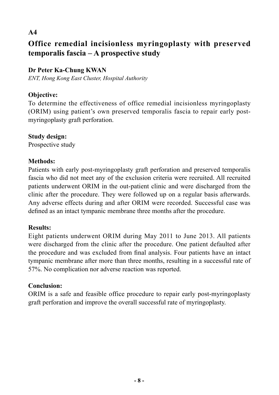## **Office remedial incisionless myringoplasty with preserved temporalis fascia – A prospective study**

#### **Dr Peter Ka-Chung KWAN**

*ENT, Hong Kong East Cluster, Hospital Authority*

### **Objective:**

To determine the effectiveness of office remedial incisionless myringoplasty (ORIM) using patient's own preserved temporalis fascia to repair early postmyringoplasty graft perforation.

### **Study design:**

Prospective study

#### **Methods:**

Patients with early post-myringoplasty graft perforation and preserved temporalis fascia who did not meet any of the exclusion criteria were recruited. All recruited patients underwent ORIM in the out-patient clinic and were discharged from the clinic after the procedure. They were followed up on a regular basis afterwards. Any adverse effects during and after ORIM were recorded. Successful case was defined as an intact tympanic membrane three months after the procedure.

#### **Results:**

Eight patients underwent ORIM during May 2011 to June 2013. All patients were discharged from the clinic after the procedure. One patient defaulted after the procedure and was excluded from final analysis. Four patients have an intact tympanic membrane after more than three months, resulting in a successful rate of 57%. No complication nor adverse reaction was reported.

#### **Conclusion:**

ORIM is a safe and feasible office procedure to repair early post-myringoplasty graft perforation and improve the overall successful rate of myringoplasty.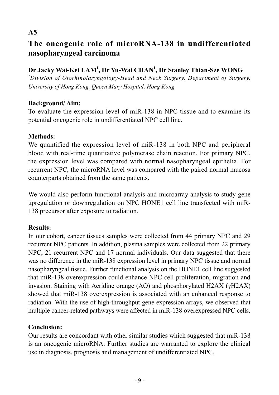## **The oncogenic role of microRNA-138 in undifferentiated nasopharyngeal carcinoma**

## **Dr Jacky Wai-Kei LAM<sup>1</sup> , Dr Yu-Wai CHAN<sup>1</sup> , Dr Stanley Thian-Sze WONG**

*1 Division of Otorhinolaryngology-Head and Neck Surgery, Department of Surgery, University of Hong Kong, Queen Mary Hospital, Hong Kong*

#### **Background/ Aim:**

To evaluate the expression level of miR-138 in NPC tissue and to examine its potential oncogenic role in undifferentiated NPC cell line.

#### **Methods:**

We quantified the expression level of miR-138 in both NPC and peripheral blood with real-time quantitative polymerase chain reaction. For primary NPC, the expression level was compared with normal nasopharyngeal epithelia. For recurrent NPC, the microRNA level was compared with the paired normal mucosa counterparts obtained from the same patients.

We would also perform functional analysis and microarray analysis to study gene upregulation or downregulation on NPC HONE1 cell line transfected with miR-138 precursor after exposure to radiation.

#### **Results:**

In our cohort, cancer tissues samples were collected from 44 primary NPC and 29 recurrent NPC patients. In addition, plasma samples were collected from 22 primary NPC, 21 recurrent NPC and 17 normal individuals. Our data suggested that there was no difference in the miR-138 expression level in primary NPC tissue and normal nasopharyngeal tissue. Further functional analysis on the HONE1 cell line suggested that miR-138 overexpression could enhance NPC cell proliferation, migration and invasion. Staining with Acridine orange (AO) and phosphorylated H2AX (γH2AX) showed that miR-138 overexpression is associated with an enhanced response to radiation. With the use of high-throughput gene expression arrays, we observed that multiple cancer-related pathways were affected in miR-138 overexpressed NPC cells.

#### **Conclusion:**

Our results are concordant with other similar studies which suggested that miR-138 is an oncogenic microRNA. Further studies are warranted to explore the clinical use in diagnosis, prognosis and management of undifferentiated NPC.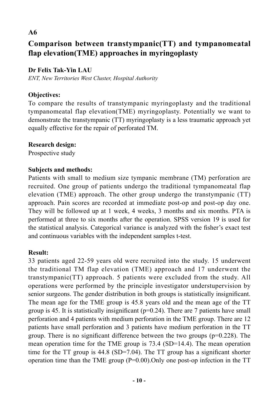## **Comparison between transtympanic(TT) and tympanomeatal flap elevation(TME) approaches in myringoplasty**

#### **Dr Felix Tak-Yin LAU**

*ENT, New Territories West Cluster, Hospital Authority*

#### **Objectives:**

To compare the results of transtympanic myringoplasty and the traditional tympanomeatal flap elevation(TME) myringoplasty. Potentially we want to demonstrate the transtympanic (TT) myringoplasty is a less traumatic approach yet equally effective for the repair of perforated TM.

#### **Research design:**

Prospective study

#### **Subjects and methods:**

Patients with small to medium size tympanic membrane (TM) perforation are recruited. One group of patients undergo the traditional tympanomeatal flap elevation (TME) approach. The other group undergo the transtympanic (TT) approach. Pain scores are recorded at immediate post-op and post-op day one. They will be followed up at 1 week, 4 weeks, 3 months and six months. PTA is performed at three to six months after the operation. SPSS version 19 is used for the statistical analysis. Categorical variance is analyzed with the fisher's exact test and continuous variables with the independent samples t-test.

#### **Result:**

33 patients aged 22-59 years old were recruited into the study. 15 underwent the traditional TM flap elevation (TME) approach and 17 underwent the transtympanic(TT) approach. 5 patients were excluded from the study. All operations were performed by the principle investigator understupervision by senior surgeons. The gender distribution in both groups is statistically insignificant. The mean age for the TME group is 45.8 years old and the mean age of the TT group is 45. It is statistically insignificant ( $p=0.24$ ). There are 7 patients have small perforation and 4 patients with medium perforation in the TME group. There are 12 patients have small perforation and 3 patients have medium perforation in the TT group. There is no significant difference between the two groups  $(p=0.228)$ . The mean operation time for the TME group is 73.4 (SD=14.4). The mean operation time for the TT group is 44.8 (SD=7.04). The TT group has a significant shorter operation time than the TME group (P=0.00).Only one post-op infection in the TT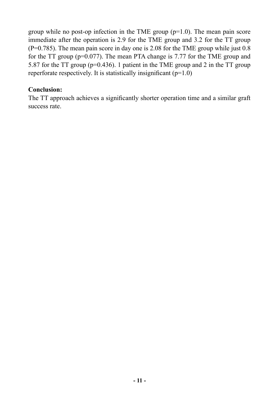group while no post-op infection in the TME group  $(p=1.0)$ . The mean pain score immediate after the operation is 2.9 for the TME group and 3.2 for the TT group (P=0.785). The mean pain score in day one is 2.08 for the TME group while just 0.8 for the TT group (p=0.077). The mean PTA change is 7.77 for the TME group and 5.87 for the TT group (p=0.436). 1 patient in the TME group and 2 in the TT group reperforate respectively. It is statistically insignificant  $(p=1.0)$ 

#### **Conclusion:**

The TT approach achieves a significantly shorter operation time and a similar graft success rate.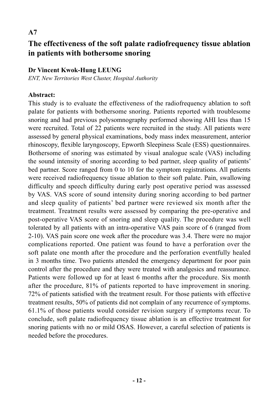## **The effectiveness of the soft palate radiofrequency tissue ablation in patients with bothersome snoring**

#### **Dr Vincent Kwok-Hung LEUNG**

*ENT, New Territories West Cluster, Hospital Authority*

#### **Abstract:**

This study is to evaluate the effectiveness of the radiofrequency ablation to soft palate for patients with bothersome snoring. Patients reported with troublesome snoring and had previous polysomnography performed showing AHI less than 15 were recruited. Total of 22 patients were recruited in the study. All patients were assessed by general physical examinations, body mass index measurement, anterior rhinoscopy, flexible laryngoscopy, Epworth Sleepiness Scale (ESS) questionnaires. Bothersome of snoring was estimated by visual analogue scale (VAS) including the sound intensity of snoring according to bed partner, sleep quality of patients' bed partner. Score ranged from 0 to 10 for the symptom registrations. All patients were received radiofrequency tissue ablation to their soft palate. Pain, swallowing difficulty and speech difficulty during early post operative period was assessed by VAS. VAS score of sound intensity during snoring according to bed partner and sleep quality of patients' bed partner were reviewed six month after the treatment. Treatment results were assessed by comparing the pre-operative and post-operative VAS score of snoring and sleep quality. The procedure was well tolerated by all patients with an intra-operative VAS pain score of 6 (ranged from 2-10). VAS pain score one week after the procedure was 3.4. There were no major complications reported. One patient was found to have a perforation over the soft palate one month after the procedure and the perforation eventfully healed in 3 months time. Two patients attended the emergency department for poor pain control after the procedure and they were treated with analgesics and reassurance. Patients were followed up for at least 6 months after the procedure. Six month after the procedure, 81% of patients reported to have improvement in snoring. 72% of patients satisfied with the treatment result. For those patients with effective treatment results, 50% of patients did not complain of any recurrence of symptoms. 61.1% of those patients would consider revision surgery if symptoms recur. To conclude, soft palate radiofrequency tissue ablation is an effective treatment for snoring patients with no or mild OSAS. However, a careful selection of patients is needed before the procedures.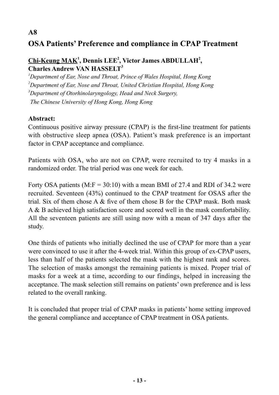## **OSA Patients' Preference and compliance in CPAP Treatment**

#### **Chi-Keung MAK<sup>1</sup> , Dennis LEE<sup>2</sup> , Victor James ABDULLAH<sup>2</sup> , Charles Andrew VAN HASSELT<sup>3</sup>**

 *Department of Ear, Nose and Throat, Prince of Wales Hospital, Hong Kong Department of Ear, Nose and Throat, United Christian Hospital, Hong Kong Department of Otorhinolaryngology, Head and Neck Surgery, The Chinese University of Hong Kong, Hong Kong*

#### **Abstract:**

Continuous positive airway pressure (CPAP) is the first-line treatment for patients with obstructive sleep apnea (OSA). Patient's mask preference is an important factor in CPAP acceptance and compliance.

Patients with OSA, who are not on CPAP, were recruited to try 4 masks in a randomized order. The trial period was one week for each.

Forty OSA patients (M:F =  $30:10$ ) with a mean BMI of 27.4 and RDI of 34.2 were recruited. Seventeen (43%) continued to the CPAP treatment for OSAS after the trial. Six of them chose A  $\&$  five of them chose B for the CPAP mask. Both mask. A & B achieved high satisfaction score and scored well in the mask comfortability. All the seventeen patients are still using now with a mean of 347 days after the study.

One thirds of patients who initially declined the use of CPAP for more than a year were convinced to use it after the 4-week trial. Within this group of ex-CPAP users, less than half of the patients selected the mask with the highest rank and scores. The selection of masks amongst the remaining patients is mixed. Proper trial of masks for a week at a time, according to our findings, helped in increasing the acceptance. The mask selection still remains on patients' own preference and is less related to the overall ranking.

It is concluded that proper trial of CPAP masks in patients' home setting improved the general compliance and acceptance of CPAP treatment in OSA patients.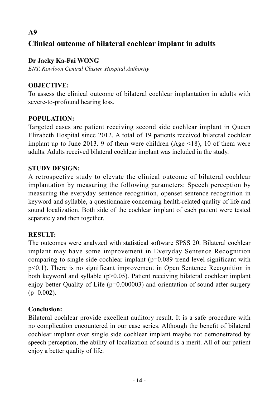## **Clinical outcome of bilateral cochlear implant in adults**

#### **Dr Jacky Ka-Fai WONG**

*ENT, Kowloon Central Cluster, Hospital Authority* 

#### **OBJECTIVE:**

**A9** 

To assess the clinical outcome of bilateral cochlear implantation in adults with severe-to-profound hearing loss.

#### **POPULATION:**

Targeted cases are patient receiving second side cochlear implant in Queen Elizabeth Hospital since 2012. A total of 19 patients received bilateral cochlear implant up to June 2013. 9 of them were children (Age  $\leq$ 18), 10 of them were adults. Adults received bilateral cochlear implant was included in the study.

#### **STUDY DESIGN:**

A retrospective study to elevate the clinical outcome of bilateral cochlear implantation by measuring the following parameters: Speech perception by measuring the everyday sentence recognition, openset sentence recognition in keyword and syllable, a questionnaire concerning health-related quality of life and sound localization. Both side of the cochlear implant of each patient were tested separately and then together.

#### **RESULT:**

The outcomes were analyzed with statistical software SPSS 20. Bilateral cochlear implant may have some improvement in Everyday Sentence Recognition comparing to single side cochlear implant (p=0.089 trend level significant with p<0.1). There is no significant improvement in Open Sentence Recognition in both keyword and syllable (p>0.05). Patient receiving bilateral cochlear implant enjoy better Quality of Life (p=0.000003) and orientation of sound after surgery  $(p=0.002)$ .

#### **Conclusion:**

Bilateral cochlear provide excellent auditory result. It is a safe procedure with no complication encountered in our case series. Although the benefit of bilateral cochlear implant over single side cochlear implant maybe not demonstrated by speech perception, the ability of localization of sound is a merit. All of our patient enjoy a better quality of life.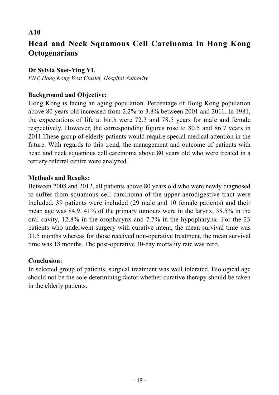## **Head and Neck Squamous Cell Carcinoma in Hong Kong Octogenarians**

**Dr Sylvia Suet-Ying YU** *ENT, Hong Kong West Cluster, Hospital Authority* 

#### **Background and Objective:**

Hong Kong is facing an aging population. Percentage of Hong Kong population above 80 years old increased from 2.2% to 3.8% between 2001 and 2011. In 1981, the expectations of life at birth were 72.3 and 78.5 years for male and female respectively. However, the corresponding figures rose to 80.5 and 86.7 years in 2011.These group of elderly patients would require special medical attention in the future. With regards to this trend, the management and outcome of patients with head and neck squamous cell carcinoma above 80 years old who were treated in a tertiary referral centre were analyzed.

#### **Methods and Results:**

Between 2008 and 2012, all patients above 80 years old who were newly diagnosed to suffer from squamous cell carcinoma of the upper aerodigestive tract were included. 39 patients were included (29 male and 10 female patients) and their mean age was 84.9. 41% of the primary tumours were in the larynx, 38.5% in the oral cavity, 12.8% in the oropharynx and 7.7% in the hypopharynx. For the 23 patients who underwent surgery with curative intent, the mean survival time was 31.5 months whereas for those received non-operative treatment, the mean survival time was 18 months. The post-operative 30-day mortality rate was zero.

#### **Conclusion:**

In selected group of patients, surgical treatment was well tolerated. Biological age should not be the sole determining factor whether curative therapy should be taken in the elderly patients.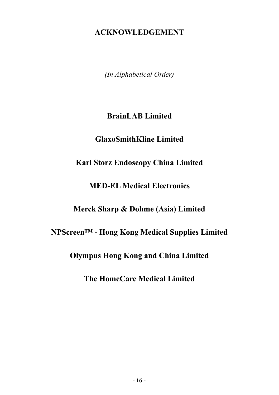## **ACKNOWLEDGEMENT**

*(In Alphabetical Order)*

## **BrainLAB Limited**

## **GlaxoSmithKline Limited**

## **Karl Storz Endoscopy China Limited**

## **MED-EL Medical Electronics**

## **Merck Sharp & Dohme (Asia) Limited**

## **NPScreen™ - Hong Kong Medical Supplies Limited**

## **Olympus Hong Kong and China Limited**

## **The HomeCare Medical Limited**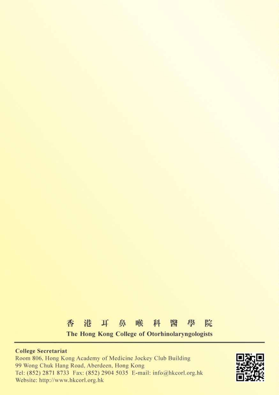#### 香 港 耳鼻喉 科 醫 學 院 The Hong Kong College of Otorhinolaryngologists

#### **College Secretariat**

Room 806, Hong Kong Academy of Medicine Jockey Club Building 99 Wong Chuk Hang Road, Aberdeen, Hong Kong Tel: (852) 2871 8733 Fax: (852) 2904 5035 E-mail: info@hkcorl.org.hk Website: http://www.hkcorl.org.hk